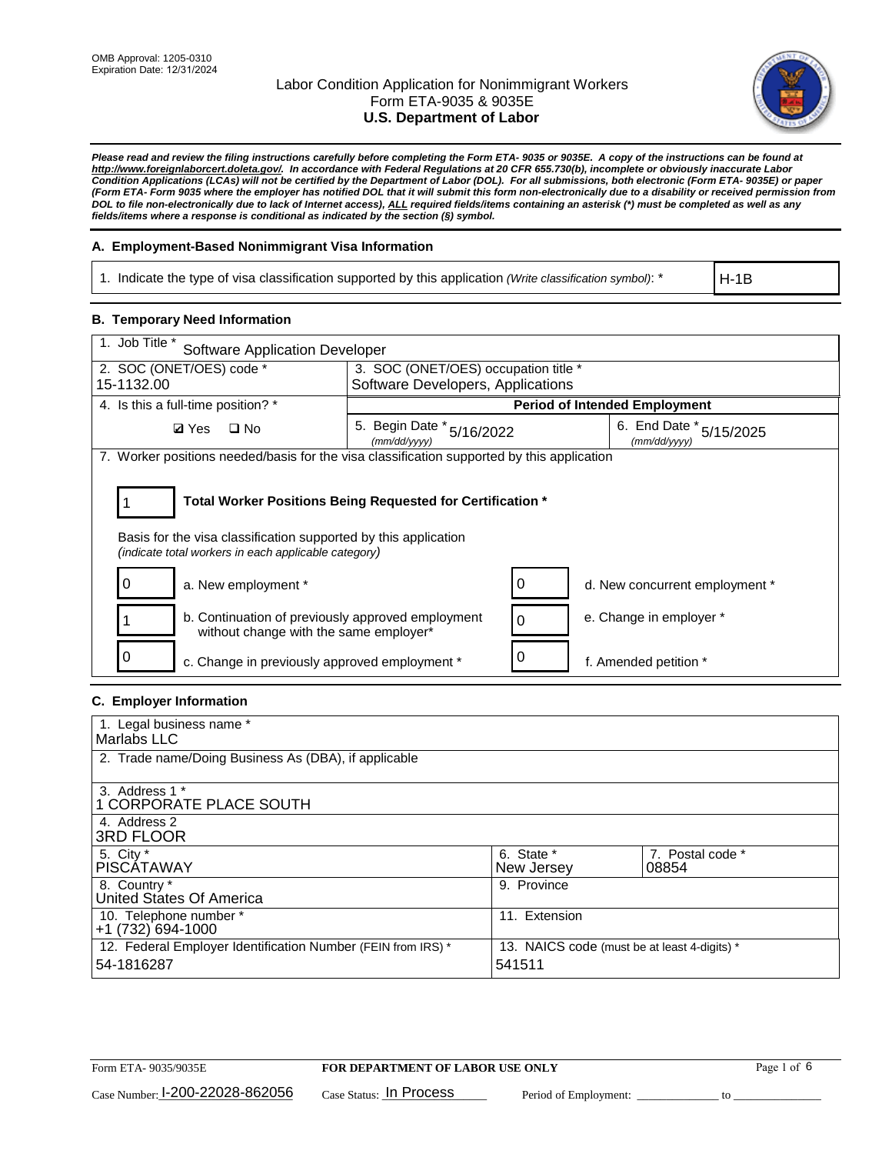

*Please read and review the filing instructions carefully before completing the Form ETA- 9035 or 9035E. A copy of the instructions can be found at http://www.foreignlaborcert.doleta.gov/. In accordance with Federal Regulations at 20 CFR 655.730(b), incomplete or obviously inaccurate Labor Condition Applications (LCAs) will not be certified by the Department of Labor (DOL). For all submissions, both electronic (Form ETA- 9035E) or paper (Form ETA- Form 9035 where the employer has notified DOL that it will submit this form non-electronically due to a disability or received permission from DOL to file non-electronically due to lack of Internet access), ALL required fields/items containing an asterisk (\*) must be completed as well as any fields/items where a response is conditional as indicated by the section (§) symbol.* 

### **A. Employment-Based Nonimmigrant Visa Information**

1. Indicate the type of visa classification supported by this application *(Write classification symbol)*: \*

H-1B

#### **B. Temporary Need Information**

| 1. Job Title *<br><b>Software Application Developer</b>                                                                                                                               |                                           |                                             |                                      |  |  |  |
|---------------------------------------------------------------------------------------------------------------------------------------------------------------------------------------|-------------------------------------------|---------------------------------------------|--------------------------------------|--|--|--|
| 2. SOC (ONET/OES) code *<br>3. SOC (ONET/OES) occupation title *                                                                                                                      |                                           |                                             |                                      |  |  |  |
| 15-1132.00                                                                                                                                                                            | Software Developers, Applications         |                                             |                                      |  |  |  |
| 4. Is this a full-time position? *                                                                                                                                                    |                                           |                                             | <b>Period of Intended Employment</b> |  |  |  |
| <b>Ø</b> Yes<br>$\Box$ No                                                                                                                                                             | 5. Begin Date * 5/16/2022<br>(mm/dd/yyyy) | 6. End Date $*_{5/15/2025}$<br>(mm/dd/yyyy) |                                      |  |  |  |
| 7. Worker positions needed/basis for the visa classification supported by this application                                                                                            |                                           |                                             |                                      |  |  |  |
| Total Worker Positions Being Requested for Certification *<br>Basis for the visa classification supported by this application<br>(indicate total workers in each applicable category) |                                           |                                             |                                      |  |  |  |
| a. New employment *                                                                                                                                                                   |                                           |                                             | d. New concurrent employment *       |  |  |  |
| b. Continuation of previously approved employment<br>without change with the same employer*                                                                                           |                                           |                                             | e. Change in employer *              |  |  |  |
| c. Change in previously approved employment *                                                                                                                                         |                                           |                                             | f. Amended petition *                |  |  |  |

### **C. Employer Information**

| 1. Legal business name *                                                                                     |               |                  |  |  |
|--------------------------------------------------------------------------------------------------------------|---------------|------------------|--|--|
| Marlabs LLC                                                                                                  |               |                  |  |  |
| 2. Trade name/Doing Business As (DBA), if applicable                                                         |               |                  |  |  |
|                                                                                                              |               |                  |  |  |
| 3. Address 1 *                                                                                               |               |                  |  |  |
| <b>1 CORPORATE PLACE SOUTH</b>                                                                               |               |                  |  |  |
| 4. Address 2                                                                                                 |               |                  |  |  |
| <b>3RD FLOOR</b>                                                                                             |               |                  |  |  |
| 5. City *                                                                                                    | 6. State *    | 7. Postal code * |  |  |
| <b>PISCÁTAWAY</b>                                                                                            | New Jersey    | 08854            |  |  |
| 8. Country *                                                                                                 | 9. Province   |                  |  |  |
| United States Of America                                                                                     |               |                  |  |  |
| 10. Telephone number *                                                                                       | 11. Extension |                  |  |  |
| +1 (732) 694-1000                                                                                            |               |                  |  |  |
| 12. Federal Employer Identification Number (FEIN from IRS) *<br>13. NAICS code (must be at least 4-digits) * |               |                  |  |  |
| 54-1816287                                                                                                   | 541511        |                  |  |  |
|                                                                                                              |               |                  |  |  |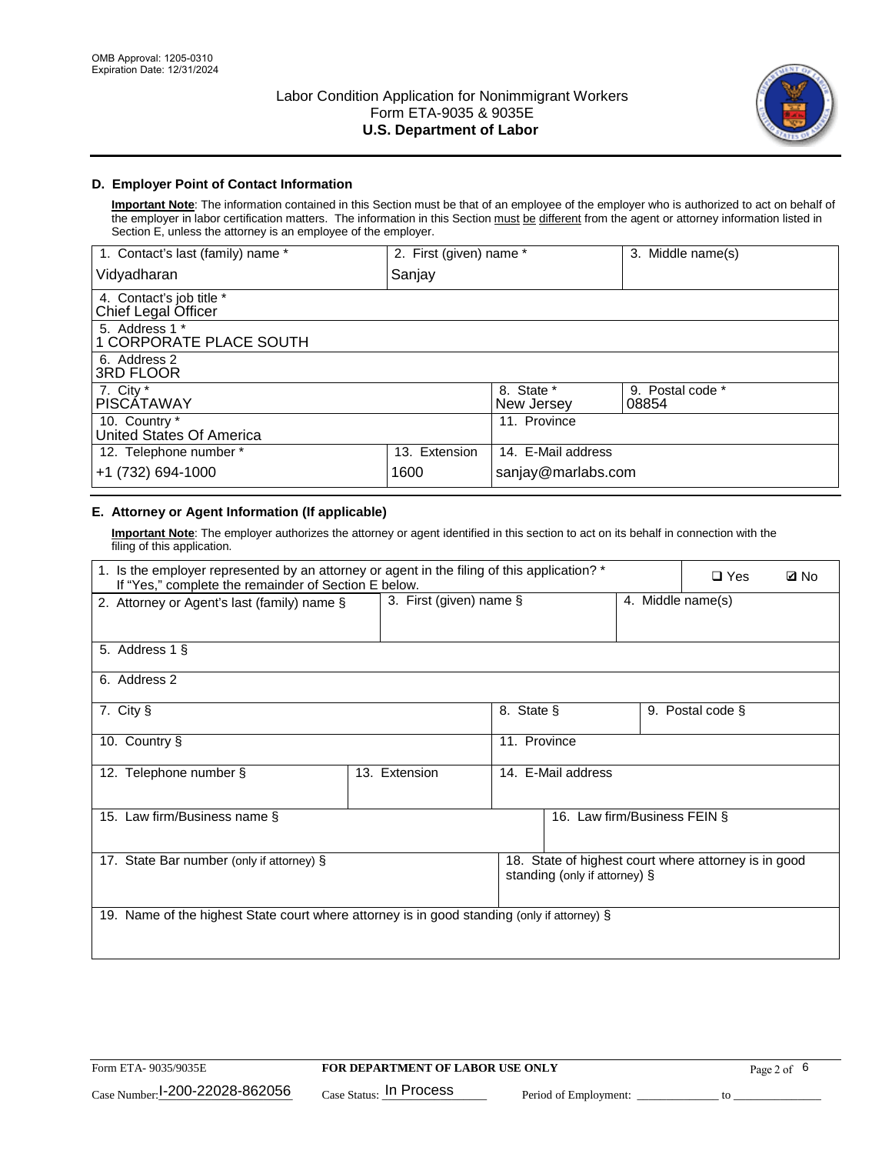

## **D. Employer Point of Contact Information**

**Important Note**: The information contained in this Section must be that of an employee of the employer who is authorized to act on behalf of the employer in labor certification matters. The information in this Section must be different from the agent or attorney information listed in Section E, unless the attorney is an employee of the employer.

| 1. Contact's last (family) name *               | 2. First (given) name * |                          | 3. Middle name(s)         |
|-------------------------------------------------|-------------------------|--------------------------|---------------------------|
| Vidyadharan                                     | Sanjay                  |                          |                           |
| 4. Contact's job title *<br>Chief Legal Officer |                         |                          |                           |
| 5. Address 1 *<br>1 CORPORATE PLACE SOUTH       |                         |                          |                           |
| 6. Address 2<br>3RD FLOOR                       |                         |                          |                           |
| 7. City $*$<br><b>PISCÁTAWAY</b>                |                         | 8. State *<br>New Jersey | 9. Postal code *<br>08854 |
| 10. Country *<br>United States Of America       |                         | 11. Province             |                           |
| 12. Telephone number *                          | 13. Extension           | 14. E-Mail address       |                           |
| +1 (732) 694-1000                               | 1600                    | sanjay@marlabs.com       |                           |

## **E. Attorney or Agent Information (If applicable)**

**Important Note**: The employer authorizes the attorney or agent identified in this section to act on its behalf in connection with the filing of this application.

| 1. Is the employer represented by an attorney or agent in the filing of this application? *<br>If "Yes," complete the remainder of Section E below. |                         |              |                               |                   | $\Box$ Yes                                           | <b>ØNo</b> |
|-----------------------------------------------------------------------------------------------------------------------------------------------------|-------------------------|--------------|-------------------------------|-------------------|------------------------------------------------------|------------|
| 2. Attorney or Agent's last (family) name §                                                                                                         | 3. First (given) name § |              |                               | 4. Middle name(s) |                                                      |            |
| 5. Address 1 §                                                                                                                                      |                         |              |                               |                   |                                                      |            |
| 6. Address 2                                                                                                                                        |                         |              |                               |                   |                                                      |            |
| 7. City §                                                                                                                                           |                         | 8. State §   |                               |                   | 9. Postal code §                                     |            |
| 10. Country §                                                                                                                                       |                         | 11. Province |                               |                   |                                                      |            |
| 12. Telephone number §                                                                                                                              | 13. Extension           |              | 14. E-Mail address            |                   |                                                      |            |
| 15. Law firm/Business name §                                                                                                                        |                         |              | 16. Law firm/Business FEIN §  |                   |                                                      |            |
| 17. State Bar number (only if attorney) §                                                                                                           |                         |              | standing (only if attorney) § |                   | 18. State of highest court where attorney is in good |            |
| 19. Name of the highest State court where attorney is in good standing (only if attorney) §                                                         |                         |              |                               |                   |                                                      |            |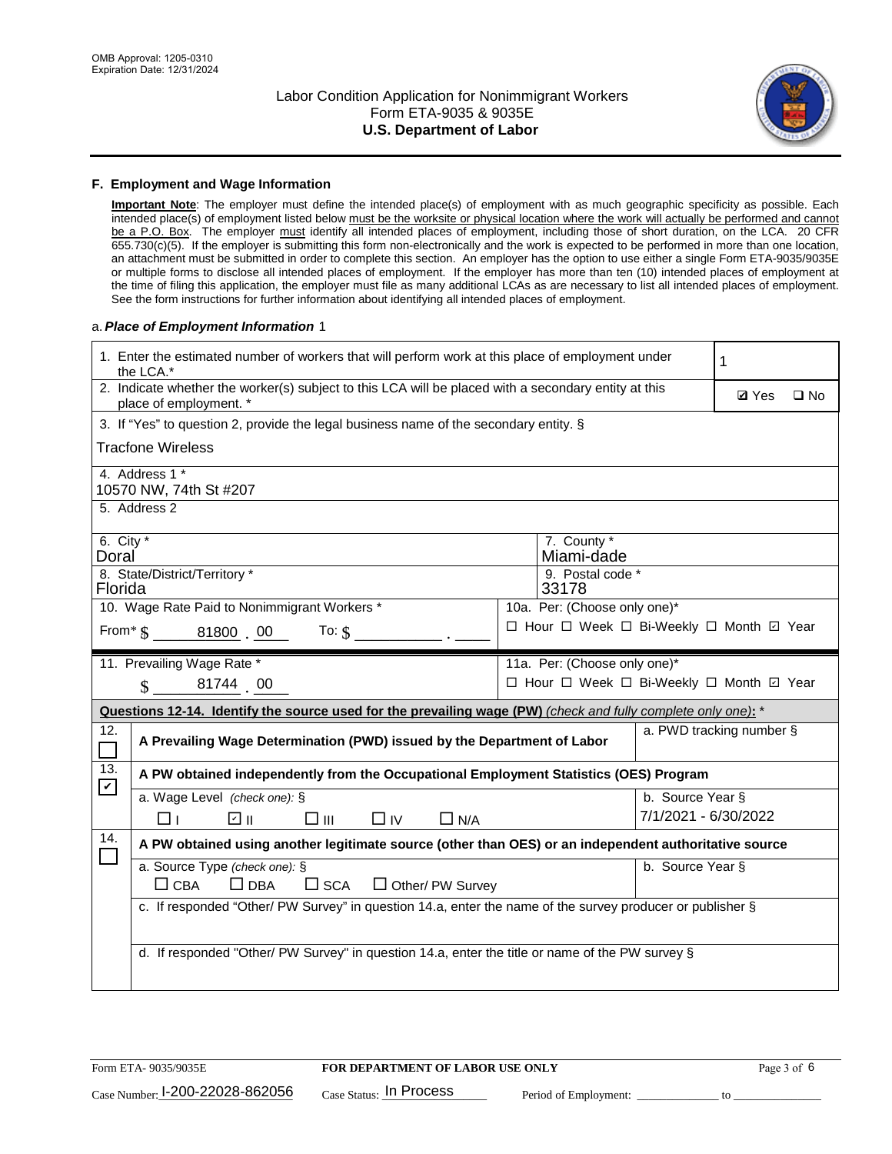

#### **F. Employment and Wage Information**

**Important Note**: The employer must define the intended place(s) of employment with as much geographic specificity as possible. Each intended place(s) of employment listed below must be the worksite or physical location where the work will actually be performed and cannot be a P.O. Box. The employer must identify all intended places of employment, including those of short duration, on the LCA. 20 CFR 655.730(c)(5). If the employer is submitting this form non-electronically and the work is expected to be performed in more than one location, an attachment must be submitted in order to complete this section. An employer has the option to use either a single Form ETA-9035/9035E or multiple forms to disclose all intended places of employment. If the employer has more than ten (10) intended places of employment at the time of filing this application, the employer must file as many additional LCAs as are necessary to list all intended places of employment. See the form instructions for further information about identifying all intended places of employment.

#### a.*Place of Employment Information* 1

| 1. Enter the estimated number of workers that will perform work at this place of employment under<br>the LCA.* |                                                                                                                                |  |                                               |                      |                          |              |  |  |
|----------------------------------------------------------------------------------------------------------------|--------------------------------------------------------------------------------------------------------------------------------|--|-----------------------------------------------|----------------------|--------------------------|--------------|--|--|
|                                                                                                                | 2. Indicate whether the worker(s) subject to this LCA will be placed with a secondary entity at this<br>place of employment. * |  |                                               |                      | <b>Ø</b> Yes             | $\square$ No |  |  |
|                                                                                                                | 3. If "Yes" to question 2, provide the legal business name of the secondary entity. §                                          |  |                                               |                      |                          |              |  |  |
|                                                                                                                | <b>Tracfone Wireless</b>                                                                                                       |  |                                               |                      |                          |              |  |  |
|                                                                                                                | 4. Address 1 *<br>10570 NW, 74th St #207                                                                                       |  |                                               |                      |                          |              |  |  |
|                                                                                                                | 5. Address 2                                                                                                                   |  |                                               |                      |                          |              |  |  |
| 6. City $*$<br>Doral                                                                                           | 8. State/District/Territory *                                                                                                  |  | 7. County *<br>Miami-dade<br>9. Postal code * |                      |                          |              |  |  |
| Florida                                                                                                        |                                                                                                                                |  | 33178                                         |                      |                          |              |  |  |
|                                                                                                                | 10. Wage Rate Paid to Nonimmigrant Workers *                                                                                   |  | 10a. Per: (Choose only one)*                  |                      |                          |              |  |  |
|                                                                                                                | From $\frac{1}{5}$ 81800 00<br>To: $\hat{\mathbf{S}}$                                                                          |  | □ Hour □ Week □ Bi-Weekly □ Month 回 Year      |                      |                          |              |  |  |
|                                                                                                                | 11. Prevailing Wage Rate *                                                                                                     |  | 11a. Per: (Choose only one)*                  |                      |                          |              |  |  |
|                                                                                                                | 81744 00<br>$\mathbf{\hat{S}}$                                                                                                 |  | □ Hour □ Week □ Bi-Weekly □ Month ☑ Year      |                      |                          |              |  |  |
|                                                                                                                | Questions 12-14. Identify the source used for the prevailing wage (PW) (check and fully complete only one): *                  |  |                                               |                      |                          |              |  |  |
| 12.                                                                                                            | A Prevailing Wage Determination (PWD) issued by the Department of Labor                                                        |  |                                               |                      | a. PWD tracking number § |              |  |  |
| 13.                                                                                                            | A PW obtained independently from the Occupational Employment Statistics (OES) Program                                          |  |                                               |                      |                          |              |  |  |
| $\blacktriangledown$                                                                                           | a. Wage Level (check one): §                                                                                                   |  |                                               | b. Source Year §     |                          |              |  |  |
|                                                                                                                | ☑ ॥<br>$\square$ $\square$<br>$\Box$ IV<br>Пт<br>$\Box$ N/A                                                                    |  |                                               | 7/1/2021 - 6/30/2022 |                          |              |  |  |
| 14.                                                                                                            | A PW obtained using another legitimate source (other than OES) or an independent authoritative source                          |  |                                               |                      |                          |              |  |  |
|                                                                                                                | a. Source Type (check one): §<br>b. Source Year §<br>$\Box$ CBA<br>$\Box$ DBA<br>$\square$ SCA<br>$\Box$ Other/ PW Survey      |  |                                               |                      |                          |              |  |  |
|                                                                                                                | c. If responded "Other/ PW Survey" in question 14.a, enter the name of the survey producer or publisher §                      |  |                                               |                      |                          |              |  |  |
|                                                                                                                | d. If responded "Other/ PW Survey" in question 14.a, enter the title or name of the PW survey §                                |  |                                               |                      |                          |              |  |  |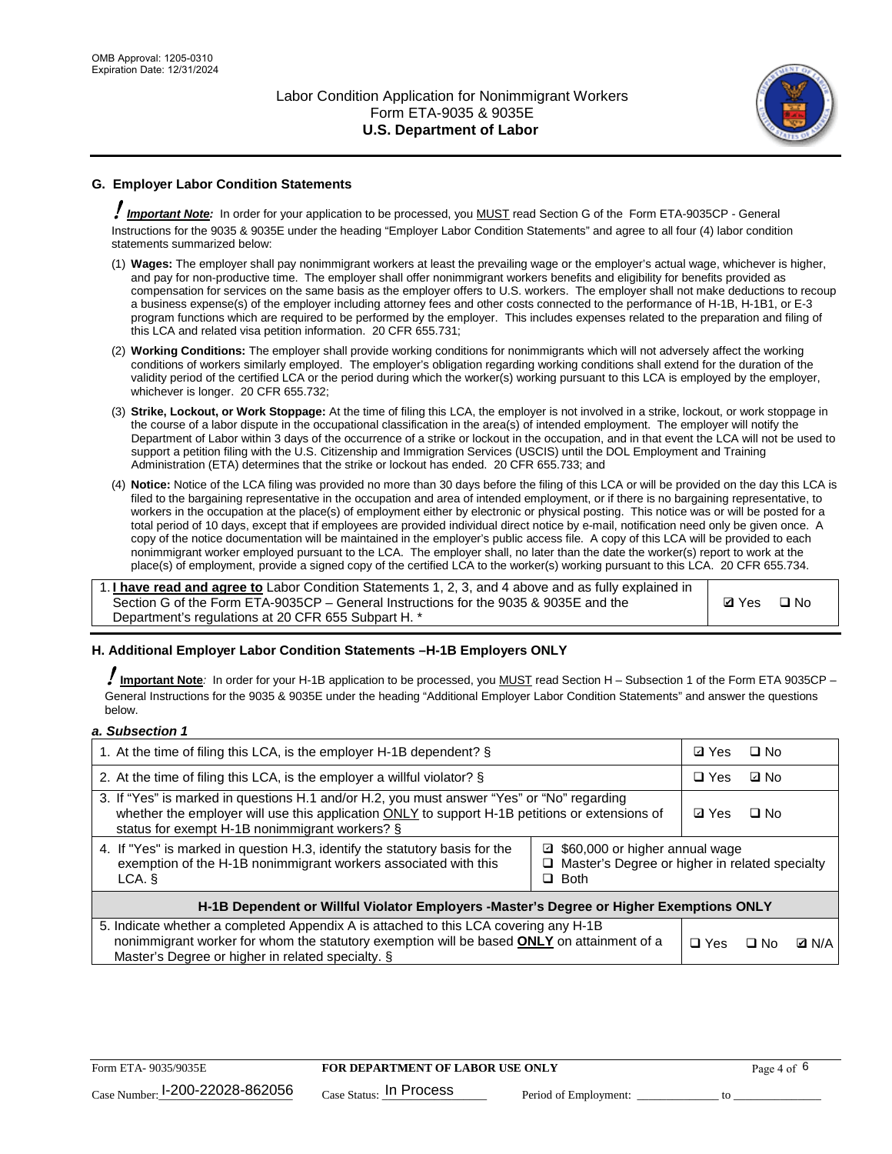

## **G. Employer Labor Condition Statements**

! *Important Note:* In order for your application to be processed, you MUST read Section G of the Form ETA-9035CP - General Instructions for the 9035 & 9035E under the heading "Employer Labor Condition Statements" and agree to all four (4) labor condition statements summarized below:

- (1) **Wages:** The employer shall pay nonimmigrant workers at least the prevailing wage or the employer's actual wage, whichever is higher, and pay for non-productive time. The employer shall offer nonimmigrant workers benefits and eligibility for benefits provided as compensation for services on the same basis as the employer offers to U.S. workers. The employer shall not make deductions to recoup a business expense(s) of the employer including attorney fees and other costs connected to the performance of H-1B, H-1B1, or E-3 program functions which are required to be performed by the employer. This includes expenses related to the preparation and filing of this LCA and related visa petition information. 20 CFR 655.731;
- (2) **Working Conditions:** The employer shall provide working conditions for nonimmigrants which will not adversely affect the working conditions of workers similarly employed. The employer's obligation regarding working conditions shall extend for the duration of the validity period of the certified LCA or the period during which the worker(s) working pursuant to this LCA is employed by the employer, whichever is longer. 20 CFR 655.732;
- (3) **Strike, Lockout, or Work Stoppage:** At the time of filing this LCA, the employer is not involved in a strike, lockout, or work stoppage in the course of a labor dispute in the occupational classification in the area(s) of intended employment. The employer will notify the Department of Labor within 3 days of the occurrence of a strike or lockout in the occupation, and in that event the LCA will not be used to support a petition filing with the U.S. Citizenship and Immigration Services (USCIS) until the DOL Employment and Training Administration (ETA) determines that the strike or lockout has ended. 20 CFR 655.733; and
- (4) **Notice:** Notice of the LCA filing was provided no more than 30 days before the filing of this LCA or will be provided on the day this LCA is filed to the bargaining representative in the occupation and area of intended employment, or if there is no bargaining representative, to workers in the occupation at the place(s) of employment either by electronic or physical posting. This notice was or will be posted for a total period of 10 days, except that if employees are provided individual direct notice by e-mail, notification need only be given once. A copy of the notice documentation will be maintained in the employer's public access file. A copy of this LCA will be provided to each nonimmigrant worker employed pursuant to the LCA. The employer shall, no later than the date the worker(s) report to work at the place(s) of employment, provide a signed copy of the certified LCA to the worker(s) working pursuant to this LCA. 20 CFR 655.734.

1. **I have read and agree to** Labor Condition Statements 1, 2, 3, and 4 above and as fully explained in Section G of the Form ETA-9035CP – General Instructions for the 9035 & 9035E and the Department's regulations at 20 CFR 655 Subpart H. \*

**Ø**Yes ロNo

#### **H. Additional Employer Labor Condition Statements –H-1B Employers ONLY**

!**Important Note***:* In order for your H-1B application to be processed, you MUST read Section H – Subsection 1 of the Form ETA 9035CP – General Instructions for the 9035 & 9035E under the heading "Additional Employer Labor Condition Statements" and answer the questions below.

#### *a. Subsection 1*

| 1. At the time of filing this LCA, is the employer H-1B dependent? §                                                                                                                                                                                            |  |  | □ No      |              |  |
|-----------------------------------------------------------------------------------------------------------------------------------------------------------------------------------------------------------------------------------------------------------------|--|--|-----------|--------------|--|
| 2. At the time of filing this LCA, is the employer a willful violator? $\S$                                                                                                                                                                                     |  |  | ⊡ No      |              |  |
| 3. If "Yes" is marked in questions H.1 and/or H.2, you must answer "Yes" or "No" regarding<br>whether the employer will use this application ONLY to support H-1B petitions or extensions of<br>status for exempt H-1B nonimmigrant workers? §                  |  |  | $\Box$ No |              |  |
| 4. If "Yes" is marked in question H.3, identify the statutory basis for the<br>■ \$60,000 or higher annual wage<br>exemption of the H-1B nonimmigrant workers associated with this<br>□ Master's Degree or higher in related specialty<br>$\Box$ Both<br>LCA. § |  |  |           |              |  |
| H-1B Dependent or Willful Violator Employers -Master's Degree or Higher Exemptions ONLY                                                                                                                                                                         |  |  |           |              |  |
| 5. Indicate whether a completed Appendix A is attached to this LCA covering any H-1B<br>nonimmigrant worker for whom the statutory exemption will be based <b>ONLY</b> on attainment of a<br>Master's Degree or higher in related specialty. §                  |  |  | ⊡ No      | <b>Q</b> N/A |  |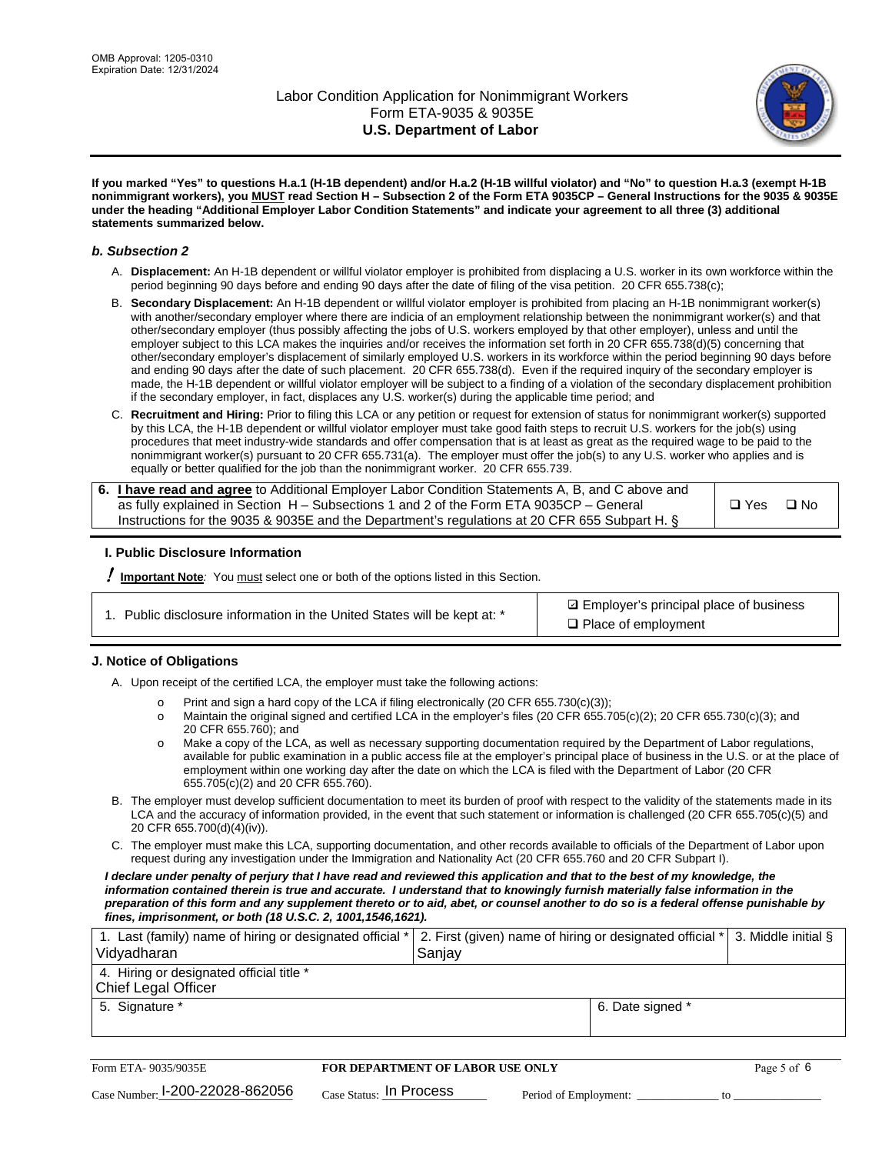

**If you marked "Yes" to questions H.a.1 (H-1B dependent) and/or H.a.2 (H-1B willful violator) and "No" to question H.a.3 (exempt H-1B nonimmigrant workers), you MUST read Section H – Subsection 2 of the Form ETA 9035CP – General Instructions for the 9035 & 9035E under the heading "Additional Employer Labor Condition Statements" and indicate your agreement to all three (3) additional statements summarized below.**

#### *b. Subsection 2*

- A. **Displacement:** An H-1B dependent or willful violator employer is prohibited from displacing a U.S. worker in its own workforce within the period beginning 90 days before and ending 90 days after the date of filing of the visa petition. 20 CFR 655.738(c);
- B. **Secondary Displacement:** An H-1B dependent or willful violator employer is prohibited from placing an H-1B nonimmigrant worker(s) with another/secondary employer where there are indicia of an employment relationship between the nonimmigrant worker(s) and that other/secondary employer (thus possibly affecting the jobs of U.S. workers employed by that other employer), unless and until the employer subject to this LCA makes the inquiries and/or receives the information set forth in 20 CFR 655.738(d)(5) concerning that other/secondary employer's displacement of similarly employed U.S. workers in its workforce within the period beginning 90 days before and ending 90 days after the date of such placement. 20 CFR 655.738(d). Even if the required inquiry of the secondary employer is made, the H-1B dependent or willful violator employer will be subject to a finding of a violation of the secondary displacement prohibition if the secondary employer, in fact, displaces any U.S. worker(s) during the applicable time period; and
- C. **Recruitment and Hiring:** Prior to filing this LCA or any petition or request for extension of status for nonimmigrant worker(s) supported by this LCA, the H-1B dependent or willful violator employer must take good faith steps to recruit U.S. workers for the job(s) using procedures that meet industry-wide standards and offer compensation that is at least as great as the required wage to be paid to the nonimmigrant worker(s) pursuant to 20 CFR 655.731(a). The employer must offer the job(s) to any U.S. worker who applies and is equally or better qualified for the job than the nonimmigrant worker. 20 CFR 655.739.

| 6. I have read and agree to Additional Employer Labor Condition Statements A, B, and C above and |               |           |
|--------------------------------------------------------------------------------------------------|---------------|-----------|
| as fully explained in Section H – Subsections 1 and 2 of the Form ETA 9035CP – General           | $\square$ Yes | $\Box$ No |
| Instructions for the 9035 & 9035 E and the Department's regulations at 20 CFR 655 Subpart H. §   |               |           |

#### **I. Public Disclosure Information**

! **Important Note***:* You must select one or both of the options listed in this Section.

**sqrt** Employer's principal place of business □ Place of employment

#### **J. Notice of Obligations**

A. Upon receipt of the certified LCA, the employer must take the following actions:

- o Print and sign a hard copy of the LCA if filing electronically (20 CFR 655.730(c)(3));<br>
Maintain the original signed and certified LCA in the employer's files (20 CFR 655.7
- Maintain the original signed and certified LCA in the employer's files (20 CFR 655.705(c)(2); 20 CFR 655.730(c)(3); and 20 CFR 655.760); and
- o Make a copy of the LCA, as well as necessary supporting documentation required by the Department of Labor regulations, available for public examination in a public access file at the employer's principal place of business in the U.S. or at the place of employment within one working day after the date on which the LCA is filed with the Department of Labor (20 CFR 655.705(c)(2) and 20 CFR 655.760).
- B. The employer must develop sufficient documentation to meet its burden of proof with respect to the validity of the statements made in its LCA and the accuracy of information provided, in the event that such statement or information is challenged (20 CFR 655.705(c)(5) and 20 CFR 655.700(d)(4)(iv)).
- C. The employer must make this LCA, supporting documentation, and other records available to officials of the Department of Labor upon request during any investigation under the Immigration and Nationality Act (20 CFR 655.760 and 20 CFR Subpart I).

*I declare under penalty of perjury that I have read and reviewed this application and that to the best of my knowledge, the*  information contained therein is true and accurate. I understand that to knowingly furnish materially false information in the *preparation of this form and any supplement thereto or to aid, abet, or counsel another to do so is a federal offense punishable by fines, imprisonment, or both (18 U.S.C. 2, 1001,1546,1621).*

| 1. Last (family) name of hiring or designated official *<br>Vidyadharan | 2. First (given) name of hiring or designated official * 3. Middle initial §<br>Sanjay |                  |  |
|-------------------------------------------------------------------------|----------------------------------------------------------------------------------------|------------------|--|
| 4. Hiring or designated official title *<br>Chief Legal Officer         |                                                                                        |                  |  |
| 5. Signature *                                                          |                                                                                        | 6. Date signed * |  |

| Form ETA-9035/9035E             | <b>FOR DEPARTMENT OF LABOR USE ONLY</b> |                       |  |
|---------------------------------|-----------------------------------------|-----------------------|--|
| Case Number: 1-200-22028-862056 | $_{\text{Case Status:}}$ In Process     | Period of Employment: |  |